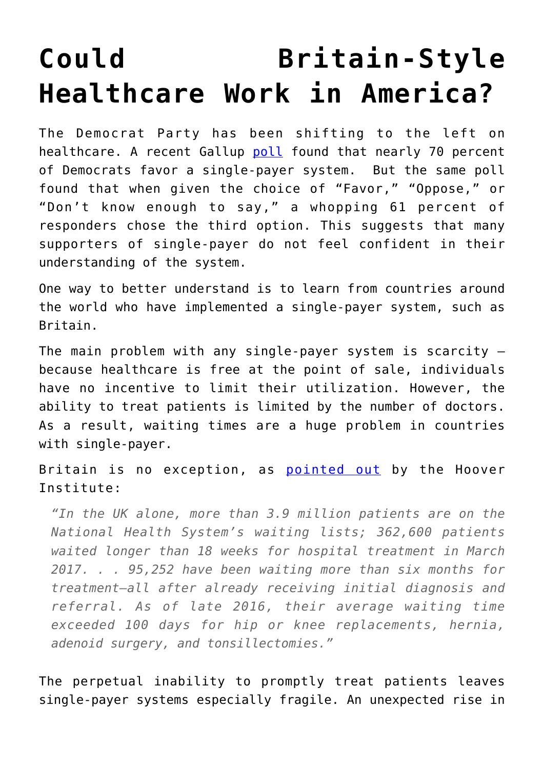## **[Could Britain-Style](https://intellectualtakeout.org/2018/07/could-britain-style-healthcare-work-in-america/) [Healthcare Work in America?](https://intellectualtakeout.org/2018/07/could-britain-style-healthcare-work-in-america/)**

The Democrat Party has been shifting to the left on healthcare. A recent Gallup [poll](https://news.gallup.com/poll/223031/americans-support-government-run-health-system-edges.aspx) found that nearly 70 percent of Democrats favor a single-payer system. But the same poll found that when given the choice of "Favor," "Oppose," or "Don't know enough to say," a whopping 61 percent of responders chose the third option. This suggests that many supporters of single-payer do not feel confident in their understanding of the system.

One way to better understand is to learn from countries around the world who have implemented a single-payer system, such as Britain.

The main problem with any single-payer system is scarcity – because healthcare is free at the point of sale, individuals have no incentive to limit their utilization. However, the ability to treat patients is limited by the number of doctors. As a result, waiting times are a huge problem in countries with single-payer.

Britain is no exception, as [pointed out](https://www.hoover.org/research/single-payer-health-care-terrible) by the Hoover Institute:

*"In the UK alone, more than 3.9 million patients are on the National Health System's waiting lists; 362,600 patients waited longer than 18 weeks for hospital treatment in March 2017. . . 95,252 have been waiting more than six months for treatment—all after already receiving initial diagnosis and referral. As of late 2016, their average waiting time exceeded 100 days for hip or knee replacements, hernia, adenoid surgery, and tonsillectomies."*

The perpetual inability to promptly treat patients leaves single-payer systems especially fragile. An unexpected rise in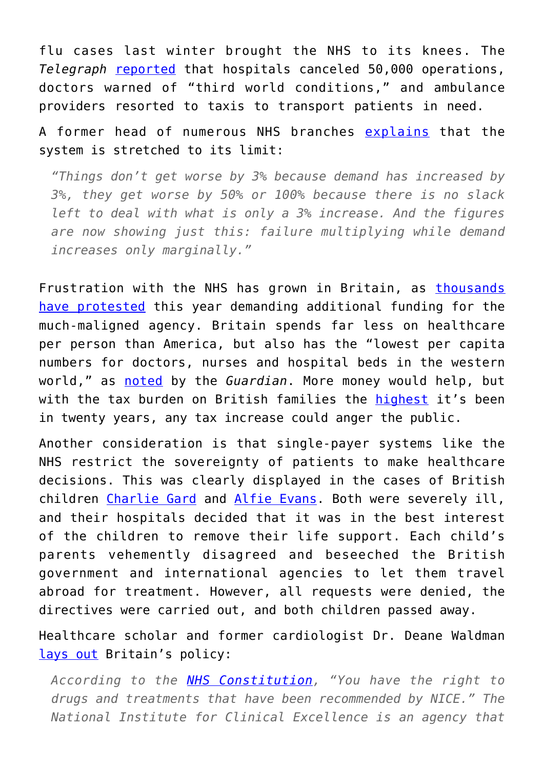flu cases last winter brought the NHS to its knees. The *Telegraph* [reported](https://www.telegraph.co.uk/news/2018/01/02/nhs-hospitals-ordered-cancel-routine-operations-january/) that hospitals canceled 50,000 operations, doctors warned of "third world conditions," and ambulance providers resorted to taxis to transport patients in need.

A former head of numerous NHS branches [explains](https://www.theguardian.com/commentisfree/2018/apr/06/nhs-failure-health-service) that the system is stretched to its limit:

*"Things don't get worse by 3% because demand has increased by 3%, they get worse by 50% or 100% because there is no slack left to deal with what is only a 3% increase. And the figures are now showing just this: failure multiplying while demand increases only marginally."*

Frustration with the NHS has grown in Britain, as [thousands](http://fortune.com/2018/07/10/nhs-70-years-uk-britain-single-payer/) [have protested](http://fortune.com/2018/07/10/nhs-70-years-uk-britain-single-payer/) this year demanding additional funding for the much-maligned agency. Britain spends far less on healthcare per person than America, but also has the "lowest per capita numbers for doctors, nurses and hospital beds in the western world," as [noted](https://www.theguardian.com/society/2018/jul/02/is-the-nhs-the-worlds-best-healthcare-system) by the *Guardian*. More money would help, but with the tax burden on British families the [highest](http://www.dailymail.co.uk/news/article-5780921/Tax-burden-facing-British-families-highest-20-years.html) it's been in twenty years, any tax increase could anger the public.

Another consideration is that single-payer systems like the NHS restrict the sovereignty of patients to make healthcare decisions. This was clearly displayed in the cases of British children [Charlie Gard](https://www.cnn.com/2017/06/27/health/charlie-gard-european-court-ruling-bn/index.html) and [Alfie Evans.](https://www.cnn.com/2018/04/25/health/alfie-evans-appeal-bn/index.html) Both were severely ill, and their hospitals decided that it was in the best interest of the children to remove their life support. Each child's parents vehemently disagreed and beseeched the British government and international agencies to let them travel abroad for treatment. However, all requests were denied, the directives were carried out, and both children passed away.

Healthcare scholar and former cardiologist Dr. Deane Waldman [lays out](https://www.realclearhealth.com/articles/2018/05/10/british_babies_offer_cautionary_tale_on_single_payer_110786.html) Britain's policy:

*According to the [NHS Constitution,](https://www.gov.uk/government/publications/the-nhs-constitution-for-england/the-nhs-constitution-for-england) "You have the right to drugs and treatments that have been recommended by NICE." The National Institute for Clinical Excellence is an agency that*